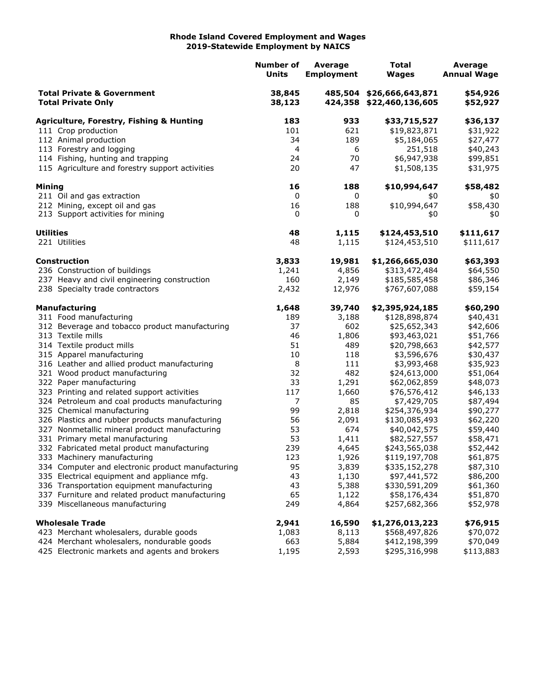## **Rhode Island Covered Employment and Wages 2019-Statewide Employment by NAICS**

|                                                                    |                                                                        | <b>Number of</b><br>Units | Average<br><b>Employment</b> | <b>Total</b><br><b>Wages</b>                         | <b>Average</b><br><b>Annual Wage</b> |
|--------------------------------------------------------------------|------------------------------------------------------------------------|---------------------------|------------------------------|------------------------------------------------------|--------------------------------------|
| <b>Total Private &amp; Government</b><br><b>Total Private Only</b> |                                                                        | 38,845<br>38,123          |                              | 485,504 \$26,666,643,871<br>424,358 \$22,460,136,605 | \$54,926<br>\$52,927                 |
|                                                                    | <b>Agriculture, Forestry, Fishing &amp; Hunting</b>                    | 183                       | 933                          | \$33,715,527                                         | \$36,137                             |
|                                                                    | 111 Crop production                                                    | 101                       | 621                          | \$19,823,871                                         | \$31,922                             |
|                                                                    | 112 Animal production                                                  | 34                        | 189                          | \$5,184,065                                          | \$27,477                             |
|                                                                    | 113 Forestry and logging                                               | 4                         | 6                            | 251,518                                              | \$40,243                             |
|                                                                    | 114 Fishing, hunting and trapping                                      | 24                        | 70                           | \$6,947,938                                          | \$99,851                             |
|                                                                    | 115 Agriculture and forestry support activities                        | 20                        | 47                           | \$1,508,135                                          | \$31,975                             |
| Mining                                                             |                                                                        | 16                        | 188                          | \$10,994,647                                         | \$58,482                             |
|                                                                    | 211 Oil and gas extraction                                             | 0                         | 0                            | \$0                                                  | \$0                                  |
|                                                                    | 212 Mining, except oil and gas                                         | 16                        | 188                          | \$10,994,647                                         | \$58,430                             |
|                                                                    | 213 Support activities for mining                                      | 0                         | 0                            | \$0                                                  | \$0                                  |
| <b>Utilities</b>                                                   |                                                                        | 48                        | 1,115                        | \$124,453,510                                        | \$111,617                            |
|                                                                    | 221 Utilities                                                          | 48                        | 1,115                        | \$124,453,510                                        | \$111,617                            |
|                                                                    | <b>Construction</b>                                                    | 3,833                     | 19,981                       | \$1,266,665,030                                      | \$63,393                             |
|                                                                    | 236 Construction of buildings                                          | 1,241                     | 4,856                        | \$313,472,484                                        | \$64,550                             |
|                                                                    | 237 Heavy and civil engineering construction                           | 160                       | 2,149                        | \$185,585,458                                        | \$86,346                             |
|                                                                    | 238 Specialty trade contractors                                        | 2,432                     | 12,976                       | \$767,607,088                                        | \$59,154                             |
|                                                                    | <b>Manufacturing</b>                                                   | 1,648                     | 39,740                       | \$2,395,924,185                                      | \$60,290                             |
|                                                                    | 311 Food manufacturing                                                 | 189                       | 3,188                        | \$128,898,874                                        | \$40,431                             |
|                                                                    | 312 Beverage and tobacco product manufacturing                         | 37                        | 602                          | \$25,652,343                                         | \$42,606                             |
|                                                                    | 313 Textile mills                                                      | 46                        | 1,806                        | \$93,463,021                                         | \$51,766                             |
|                                                                    | 314 Textile product mills                                              | 51                        | 489                          | \$20,798,663                                         | \$42,577                             |
|                                                                    | 315 Apparel manufacturing                                              | 10                        | 118                          | \$3,596,676                                          | \$30,437                             |
|                                                                    | 316 Leather and allied product manufacturing                           | 8                         | 111                          | \$3,993,468<br>\$24,613,000                          | \$35,923                             |
|                                                                    | 321 Wood product manufacturing                                         | 32<br>33                  | 482                          |                                                      | \$51,064                             |
|                                                                    | 322 Paper manufacturing<br>323 Printing and related support activities | 117                       | 1,291<br>1,660               | \$62,062,859<br>\$76,576,412                         | \$48,073                             |
|                                                                    | 324 Petroleum and coal products manufacturing                          | 7                         | 85                           | \$7,429,705                                          | \$46,133<br>\$87,494                 |
|                                                                    | 325 Chemical manufacturing                                             | 99                        | 2,818                        | \$254,376,934                                        | \$90,277                             |
|                                                                    | 326 Plastics and rubber products manufacturing                         | 56                        | 2,091                        | \$130,085,493                                        | \$62,220                             |
|                                                                    | 327 Nonmetallic mineral product manufacturing                          | 53                        | 674                          | \$40,042,575                                         | \$59,440                             |
|                                                                    | 331 Primary metal manufacturing                                        | 53                        | 1,411                        | \$82,527,557                                         | \$58,471                             |
|                                                                    | 332 Fabricated metal product manufacturing                             | 239                       | 4,645                        | \$243,565,038                                        | \$52,442                             |
|                                                                    | 333 Machinery manufacturing                                            | 123                       | 1,926                        | \$119,197,708                                        | \$61,875                             |
|                                                                    | 334 Computer and electronic product manufacturing                      | 95                        | 3,839                        | \$335,152,278                                        | \$87,310                             |
|                                                                    | 335 Electrical equipment and appliance mfg.                            | 43                        | 1,130                        | \$97,441,572                                         | \$86,200                             |
|                                                                    | 336 Transportation equipment manufacturing                             | 43                        | 5,388                        | \$330,591,209                                        | \$61,360                             |
|                                                                    | 337 Furniture and related product manufacturing                        | 65                        | 1,122                        | \$58,176,434                                         | \$51,870                             |
|                                                                    | 339 Miscellaneous manufacturing                                        | 249                       | 4,864                        | \$257,682,366                                        | \$52,978                             |
|                                                                    | <b>Wholesale Trade</b>                                                 | 2,941                     | 16,590                       | \$1,276,013,223                                      | \$76,915                             |
|                                                                    | 423 Merchant wholesalers, durable goods                                | 1,083                     | 8,113                        | \$568,497,826                                        | \$70,072                             |
|                                                                    | 424 Merchant wholesalers, nondurable goods                             | 663                       | 5,884                        | \$412,198,399                                        | \$70,049                             |
|                                                                    | 425 Electronic markets and agents and brokers                          | 1,195                     | 2,593                        | \$295,316,998                                        | \$113,883                            |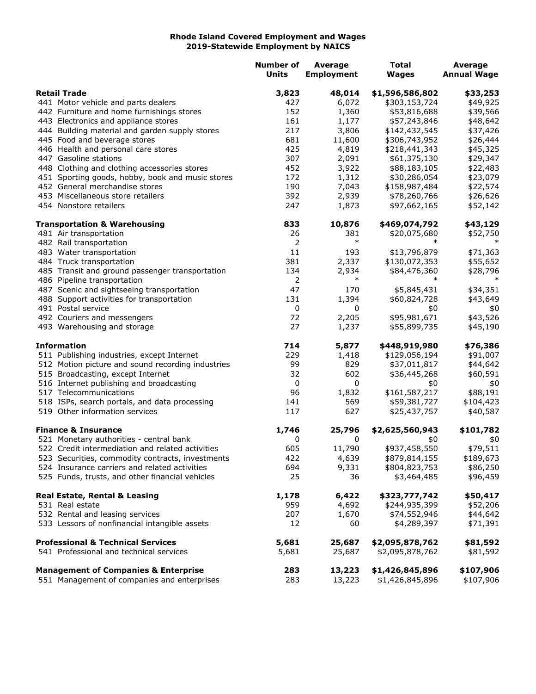## **Rhode Island Covered Employment and Wages 2019-Statewide Employment by NAICS**

|                                                   | <b>Number of</b><br>Units | <b>Average</b><br><b>Employment</b> | <b>Total</b><br><b>Wages</b> | Average<br><b>Annual Wage</b> |
|---------------------------------------------------|---------------------------|-------------------------------------|------------------------------|-------------------------------|
| <b>Retail Trade</b>                               | 3,823                     | 48,014                              | \$1,596,586,802              | \$33,253                      |
| 441 Motor vehicle and parts dealers               | 427                       | 6,072                               | \$303,153,724                | \$49,925                      |
| 442 Furniture and home furnishings stores         | 152                       | 1,360                               | \$53,816,688                 | \$39,566                      |
| 443 Electronics and appliance stores              | 161                       | 1,177                               | \$57,243,846                 | \$48,642                      |
| 444 Building material and garden supply stores    | 217                       | 3,806                               | \$142,432,545                | \$37,426                      |
| 445 Food and beverage stores                      | 681                       | 11,600                              | \$306,743,952                | \$26,444                      |
| 446 Health and personal care stores               | 425                       | 4,819                               | \$218,441,343                | \$45,325                      |
| 447 Gasoline stations                             | 307                       | 2,091                               | \$61,375,130                 | \$29,347                      |
| 448 Clothing and clothing accessories stores      | 452                       | 3,922                               | \$88,183,105                 | \$22,483                      |
| 451 Sporting goods, hobby, book and music stores  | 172                       | 1,312                               | \$30,286,054                 | \$23,079                      |
| 452 General merchandise stores                    | 190                       | 7,043                               | \$158,987,484                | \$22,574                      |
| 453 Miscellaneous store retailers                 | 392                       | 2,939                               | \$78,260,766                 | \$26,626                      |
| 454 Nonstore retailers                            | 247                       | 1,873                               | \$97,662,165                 | \$52,142                      |
| <b>Transportation &amp; Warehousing</b>           | 833                       | 10,876                              | \$469,074,792                | \$43,129                      |
| 481 Air transportation                            | 26                        | 381                                 | \$20,075,680                 | \$52,750                      |
| 482 Rail transportation                           | 2                         | $\ast$                              | $\ast$                       |                               |
| 483 Water transportation                          | 11                        | 193                                 | \$13,796,879                 | \$71,363                      |
| 484 Truck transportation                          | 381                       | 2,337                               | \$130,072,353                | \$55,652                      |
| 485 Transit and ground passenger transportation   | 134                       | 2,934                               | \$84,476,360                 | \$28,796                      |
| 486 Pipeline transportation                       | 2                         | $\ast$                              |                              | $\ast$                        |
| 487 Scenic and sightseeing transportation         | 47                        | 170                                 | \$5,845,431                  | \$34,351                      |
| 488 Support activities for transportation         | 131                       | 1,394                               | \$60,824,728                 | \$43,649                      |
| 491 Postal service                                | $\mathbf 0$               | 0                                   | \$0                          | \$0                           |
| 492 Couriers and messengers                       | 72                        | 2,205                               | \$95,981,671                 | \$43,526                      |
| 493 Warehousing and storage                       | 27                        | 1,237                               | \$55,899,735                 | \$45,190                      |
| <b>Information</b>                                | 714                       | 5,877                               | \$448,919,980                | \$76,386                      |
| 511 Publishing industries, except Internet        | 229                       | 1,418                               | \$129,056,194                | \$91,007                      |
| 512 Motion picture and sound recording industries | 99                        | 829                                 | \$37,011,817                 | \$44,642                      |
| 515 Broadcasting, except Internet                 | 32                        | 602                                 | \$36,445,268                 | \$60,591                      |
| 516 Internet publishing and broadcasting          | 0                         | 0                                   | \$0                          | \$0                           |
| 517 Telecommunications                            | 96                        | 1,832                               | \$161,587,217                | \$88,191                      |
| 518 ISPs, search portals, and data processing     | 141                       | 569                                 | \$59,381,727                 | \$104,423                     |
| 519 Other information services                    | 117                       | 627                                 | \$25,437,757                 | \$40,587                      |
| <b>Finance &amp; Insurance</b>                    | 1,746                     | 25,796                              | \$2,625,560,943              | \$101,782                     |
| 521 Monetary authorities - central bank           | 0                         | 0                                   | \$0                          | \$0                           |
| 522 Credit intermediation and related activities  | 605                       | 11,790                              | \$937,458,550                | \$79,511                      |
| 523 Securities, commodity contracts, investments  | 422                       | 4,639                               | \$879,814,155                | \$189,673                     |
| 524 Insurance carriers and related activities     | 694                       | 9,331                               | \$804,823,753                | \$86,250                      |
| 525 Funds, trusts, and other financial vehicles   | 25                        | 36                                  | \$3,464,485                  | \$96,459                      |
| Real Estate, Rental & Leasing                     | 1,178                     | 6,422                               | \$323,777,742                | \$50,417                      |
| 531 Real estate                                   | 959                       | 4,692                               | \$244,935,399                | \$52,206                      |
| 532 Rental and leasing services                   | 207                       | 1,670                               | \$74,552,946                 | \$44,642                      |
| 533 Lessors of nonfinancial intangible assets     | 12                        | 60                                  | \$4,289,397                  | \$71,391                      |
| <b>Professional &amp; Technical Services</b>      | 5,681                     | 25,687                              | \$2,095,878,762              | \$81,592                      |
| 541 Professional and technical services           | 5,681                     | 25,687                              | \$2,095,878,762              | \$81,592                      |
| <b>Management of Companies &amp; Enterprise</b>   | 283                       | 13,223                              | \$1,426,845,896              | \$107,906                     |
| 551 Management of companies and enterprises       | 283                       | 13,223                              | \$1,426,845,896              | \$107,906                     |